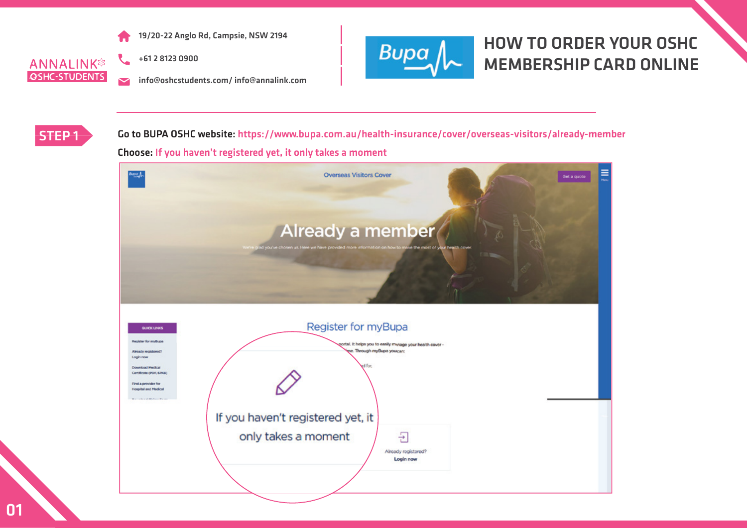

**ANNALINK® OSHC-STUDENTS** 

+61 2 8123 0900

info@oshcstudents.com/ info@annalink.com  $\overline{\mathbf{v}}$ 



#### HOW TO ORDER YOUR OSHC MEMBERSHIP CARD ONLINE



STEP 1 Go to BUPA OSHC website: https://www.bupa.com.au/health-insurance/cover/overseas-visitors/already-member Choose: If you haven't registered yet, it only takes a moment

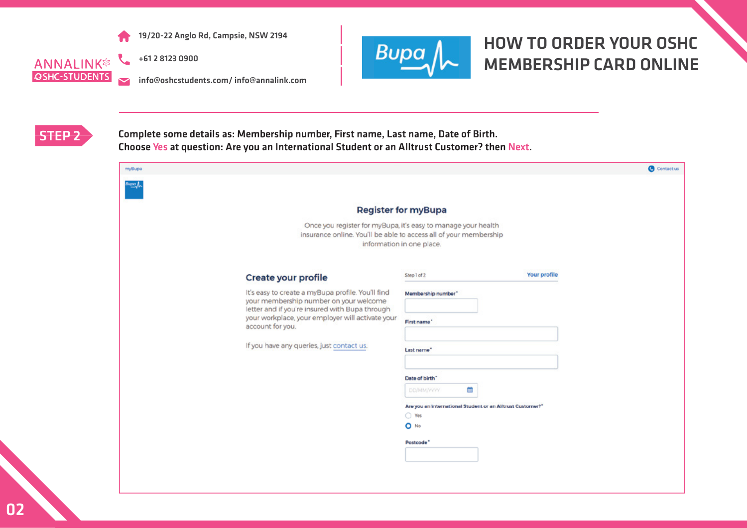

**ANNALINK® OSHC-STUDENTS**  $\overline{\mathbf{v}}$ 

+61 2 8123 0900

info@oshcstudents.com/ info@annalink.com



# HOW TO ORDER YOUR OSHC MEMBERSHIP CARD ONLINE



STEP 2 Complete some details as: Membership number, First name, Last name, Date of Birth. Choose Yes at question: Are you an International Student or an Alltrust Customer? then Next.

| myBupa |                                                                                                                                               |                                                            |              | <b>O</b> Contact us |
|--------|-----------------------------------------------------------------------------------------------------------------------------------------------|------------------------------------------------------------|--------------|---------------------|
| ™≌∤    |                                                                                                                                               |                                                            |              |                     |
|        |                                                                                                                                               | <b>Register for myBupa</b>                                 |              |                     |
|        |                                                                                                                                               |                                                            |              |                     |
|        | Once you register for myBupa, it's easy to manage your health<br>insurance online. You'll be able to access all of your membership            | information in one place.                                  |              |                     |
|        | Create your profile                                                                                                                           | Step1of2                                                   | Your profile |                     |
|        |                                                                                                                                               |                                                            |              |                     |
|        | It's easy to create a myBupa profile. You'll find<br>your membership number on your welcome<br>letter and if you're insured with Bupa through | Membership number"                                         |              |                     |
|        | your workplace, your employer will activate your<br>account for you.                                                                          | First name"                                                |              |                     |
|        | If you have any queries, just contact us.                                                                                                     |                                                            |              |                     |
|        |                                                                                                                                               | Last name*                                                 |              |                     |
|        |                                                                                                                                               | Date of birth"                                             |              |                     |
|        |                                                                                                                                               | 曲<br><b>DO/MM/VYYY</b>                                     |              |                     |
|        |                                                                                                                                               | Are you an international Student or an Alltrust Customer?" |              |                     |
|        |                                                                                                                                               | $\bigcirc$ Yes                                             |              |                     |
|        |                                                                                                                                               | O No                                                       |              |                     |
|        |                                                                                                                                               | Postcode <sup>*</sup>                                      |              |                     |
|        |                                                                                                                                               |                                                            |              |                     |
|        |                                                                                                                                               |                                                            |              |                     |
|        |                                                                                                                                               |                                                            |              |                     |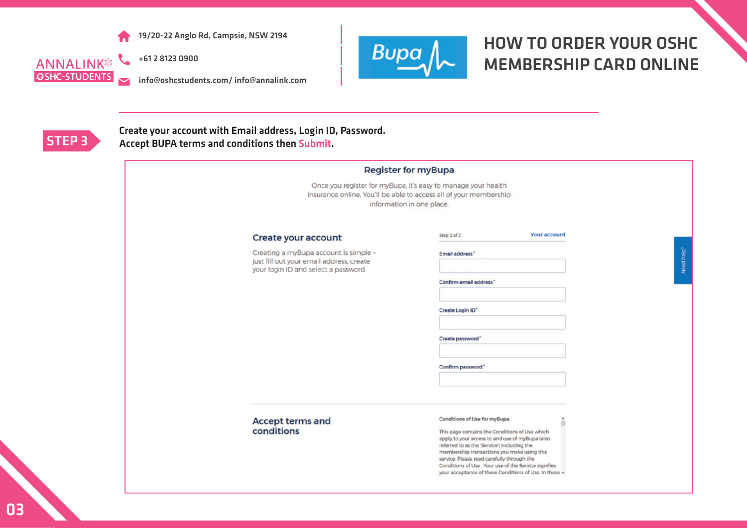

+61 2 8123 0900 **ANNALINK®** 

 $\overline{\mathbf{v}}$ 

info@oshcstudents.com/ info@annalink.com



# HOW TO ORDER YOUR OSHC MEMBERSHIP CARD ONLINE



**OSHC-STUDENTS** 

Create your account with Email address, Login ID, Password.<br>Accept BUPA terms and conditions then Submit. Accept BUPA terms and conditions then Submit.

|                                                                                                                           | Once you register for myBupa, it's easy to manage your health<br>insurance online. You'll be able to access all of your membership<br>information in one place.                                                                                                                                                                                                                                       |
|---------------------------------------------------------------------------------------------------------------------------|-------------------------------------------------------------------------------------------------------------------------------------------------------------------------------------------------------------------------------------------------------------------------------------------------------------------------------------------------------------------------------------------------------|
| Create your account                                                                                                       | <b>Your account</b><br>Step 2 of 2                                                                                                                                                                                                                                                                                                                                                                    |
| Creating a myBupa account is simple -<br>just fill out your email address, create<br>your login ID and select a password. | Email address"                                                                                                                                                                                                                                                                                                                                                                                        |
|                                                                                                                           | Confirm email address"                                                                                                                                                                                                                                                                                                                                                                                |
|                                                                                                                           | Create Login ID"                                                                                                                                                                                                                                                                                                                                                                                      |
|                                                                                                                           | Create password"                                                                                                                                                                                                                                                                                                                                                                                      |
|                                                                                                                           | Confirm password"                                                                                                                                                                                                                                                                                                                                                                                     |
|                                                                                                                           |                                                                                                                                                                                                                                                                                                                                                                                                       |
| <b>Accept terms and</b><br>conditions                                                                                     | Conditions of Use for myBupa<br>ш<br>This page contains the Conditions of Use which<br>apply to your access to and use of myBupa (also<br>referred to as the 'Service') including the<br>membership transactions you make using this<br>service. Please read carefully through the<br>Conditions of Use . Your use of the Service signifies<br>your acceptance of these Conditions of Use. In these v |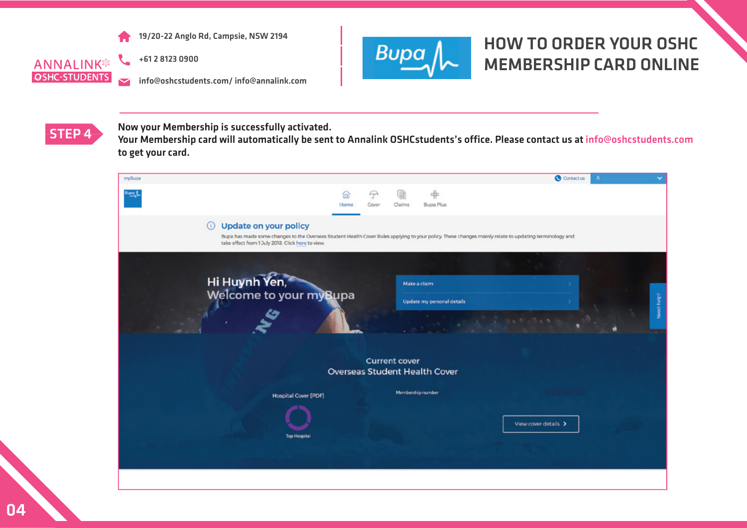

**ANNALINK® OSHC-STUDENTS**  $\overline{\phantom{0}}$  +61 2 8123 0900

info@oshcstudents.com/ info@annalink.com



# HOW TO ORDER YOUR OSHC MEMBERSHIP CARD ONLINE



STEP 4 Now your Membership is successfully activated.

Your Membership card will automatically be sent to Annalink OSHCstudents's office. Please contact us at info@oshcstudents.com to get your card.

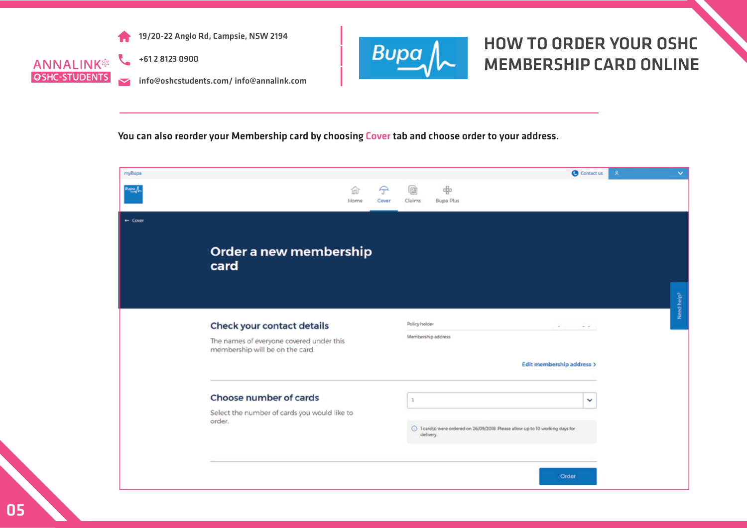





+61 2 8123 0900

info@oshcstudents.com/ info@annalink.com



# HOW TO ORDER YOUR OSHC MEMBERSHIP CARD ONLINE

You can also reorder your Membership card by choosing Cover tab and choose order to your address.

| myBupa             |                                                                             |           |                   |                    |                       |                                                                              |                           | <b>O</b> Contact us |   | × | $\checkmark$           |
|--------------------|-----------------------------------------------------------------------------|-----------|-------------------|--------------------|-----------------------|------------------------------------------------------------------------------|---------------------------|---------------------|---|---|------------------------|
| huaa A             |                                                                             | ଢ<br>Home | $\Theta$<br>Cover | G<br>Claims        | 唧<br><b>Bupa Plus</b> |                                                                              |                           |                     |   |   |                        |
| $\leftarrow$ Cover |                                                                             |           |                   |                    |                       |                                                                              |                           |                     |   |   |                        |
|                    | Order a new membership<br>card                                              |           |                   |                    |                       |                                                                              |                           |                     |   |   |                        |
|                    |                                                                             |           |                   |                    |                       |                                                                              |                           |                     |   |   | Need help <sup>2</sup> |
|                    | Check your contact details                                                  |           |                   | Policy holder      |                       |                                                                              |                           | <b>STATISTICS</b>   |   |   |                        |
|                    | The names of everyone covered under this<br>membership will be on the card. |           |                   | Membership address |                       |                                                                              |                           |                     |   |   |                        |
|                    |                                                                             |           |                   |                    |                       |                                                                              | Edit membership address > |                     |   |   |                        |
|                    | Choose number of cards                                                      |           |                   | $\mathbf{1}$       |                       |                                                                              |                           |                     | ✓ |   |                        |
|                    | Select the number of cards you would like to<br>order.                      |           |                   | delivery.          |                       | 1 Card(s) were ordered on 26/09/2018. Please allow up to 10 working days for |                           |                     |   |   |                        |
|                    |                                                                             |           |                   |                    |                       |                                                                              |                           | <b>Order</b>        |   |   |                        |